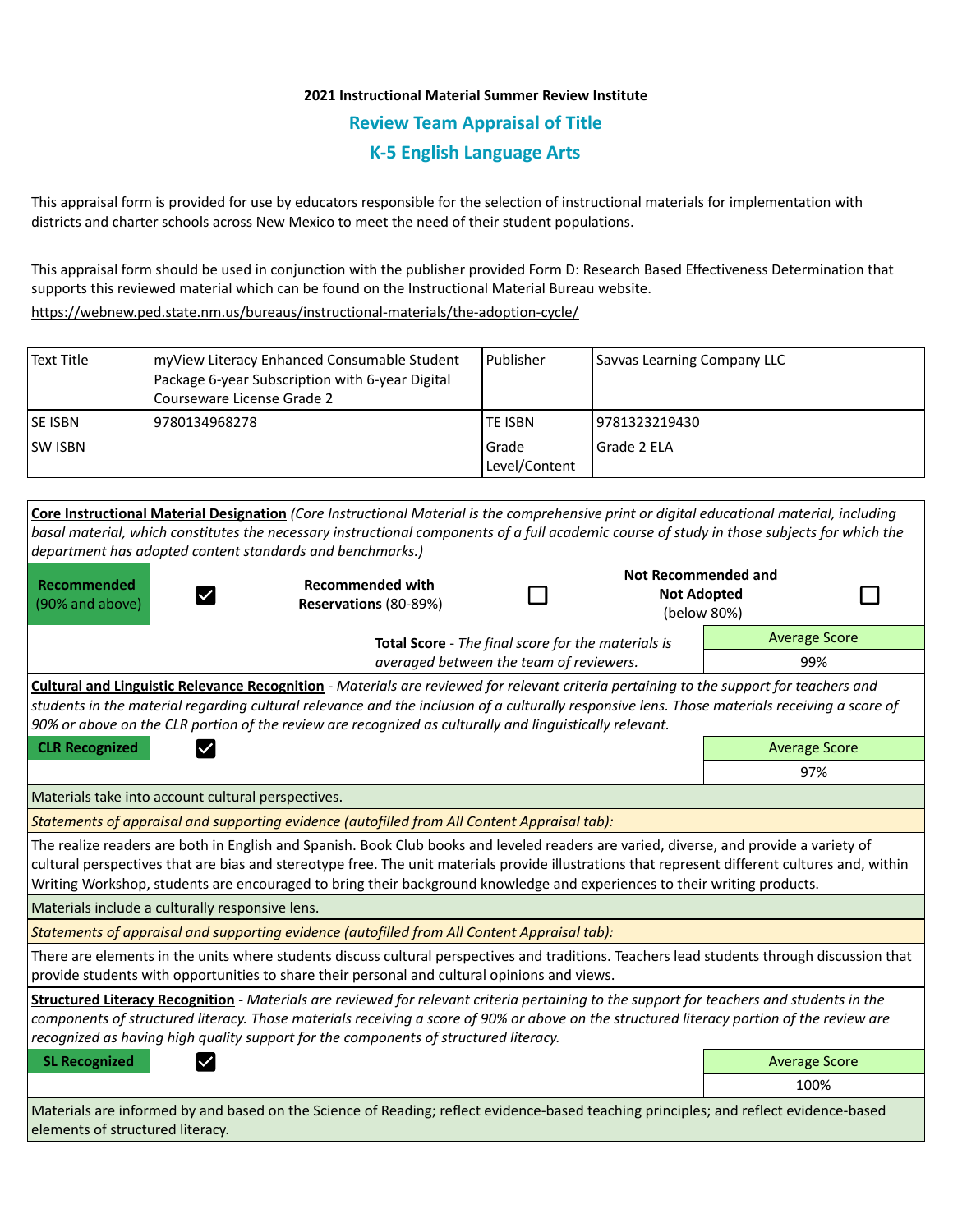## **2021 Instructional Material Summer Review Institute Review Team Appraisal of Title K-5 English Language Arts**

This appraisal form is provided for use by educators responsible for the selection of instructional materials for implementation with districts and charter schools across New Mexico to meet the need of their student populations.

This appraisal form should be used in conjunction with the publisher provided Form D: Research Based Effectiveness Determination that supports this reviewed material which can be found on the Instructional Material Bureau website.

<https://webnew.ped.state.nm.us/bureaus/instructional-materials/the-adoption-cycle/>

| <b>Text Title</b>                                  | myView Literacy Enhanced Consumable Student<br>Package 6-year Subscription with 6-year Digital<br>Courseware License Grade 2                                                                                                                                                                                                                                                                                          | Publisher              |                     | Savvas Learning Company LLC |  |  |
|----------------------------------------------------|-----------------------------------------------------------------------------------------------------------------------------------------------------------------------------------------------------------------------------------------------------------------------------------------------------------------------------------------------------------------------------------------------------------------------|------------------------|---------------------|-----------------------------|--|--|
| <b>SE ISBN</b>                                     | 9780134968278                                                                                                                                                                                                                                                                                                                                                                                                         | <b>TE ISBN</b>         | 9781323219430       |                             |  |  |
| <b>SW ISBN</b>                                     |                                                                                                                                                                                                                                                                                                                                                                                                                       | Grade<br>Level/Content | Grade 2 ELA         |                             |  |  |
|                                                    | Core Instructional Material Designation (Core Instructional Material is the comprehensive print or digital educational material, including<br>basal material, which constitutes the necessary instructional components of a full academic course of study in those subjects for which the<br>department has adopted content standards and benchmarks.)                                                                |                        | Not Recommended and |                             |  |  |
| <b>Recommended</b><br>(90% and above)              | <b>Recommended with</b><br>Reservations (80-89%)                                                                                                                                                                                                                                                                                                                                                                      |                        | <b>Not Adopted</b>  | (below 80%)                 |  |  |
| Total Score - The final score for the materials is |                                                                                                                                                                                                                                                                                                                                                                                                                       |                        |                     | <b>Average Score</b>        |  |  |
| averaged between the team of reviewers.            |                                                                                                                                                                                                                                                                                                                                                                                                                       |                        |                     | 99%                         |  |  |
|                                                    | Cultural and Linguistic Relevance Recognition - Materials are reviewed for relevant criteria pertaining to the support for teachers and<br>students in the material regarding cultural relevance and the inclusion of a culturally responsive lens. Those materials receiving a score of<br>90% or above on the CLR portion of the review are recognized as culturally and linguistically relevant.                   |                        |                     |                             |  |  |
| <b>CLR Recognized</b>                              |                                                                                                                                                                                                                                                                                                                                                                                                                       |                        |                     | <b>Average Score</b>        |  |  |
|                                                    |                                                                                                                                                                                                                                                                                                                                                                                                                       |                        |                     | 97%                         |  |  |
|                                                    | Materials take into account cultural perspectives.                                                                                                                                                                                                                                                                                                                                                                    |                        |                     |                             |  |  |
|                                                    | Statements of appraisal and supporting evidence (autofilled from All Content Appraisal tab):                                                                                                                                                                                                                                                                                                                          |                        |                     |                             |  |  |
|                                                    | The realize readers are both in English and Spanish. Book Club books and leveled readers are varied, diverse, and provide a variety of<br>cultural perspectives that are bias and stereotype free. The unit materials provide illustrations that represent different cultures and, within<br>Writing Workshop, students are encouraged to bring their background knowledge and experiences to their writing products. |                        |                     |                             |  |  |

Materials include a culturally responsive lens.

*Statements of appraisal and supporting evidence (autofilled from All Content Appraisal tab):* 

There are elements in the units where students discuss cultural perspectives and traditions. Teachers lead students through discussion that provide students with opportunities to share their personal and cultural opinions and views.

**Structured Literacy Recognition** - *Materials are reviewed for relevant criteria pertaining to the support for teachers and students in the components of structured literacy. Those materials receiving a score of 90% or above on the structured literacy portion of the review are recognized as having high quality support for the components of structured literacy.*

**SL Recognized Average Score Average Score Average Score Average Score Average Score** 

100%

Materials are informed by and based on the Science of Reading; reflect evidence-based teaching principles; and reflect evidence-based elements of structured literacy.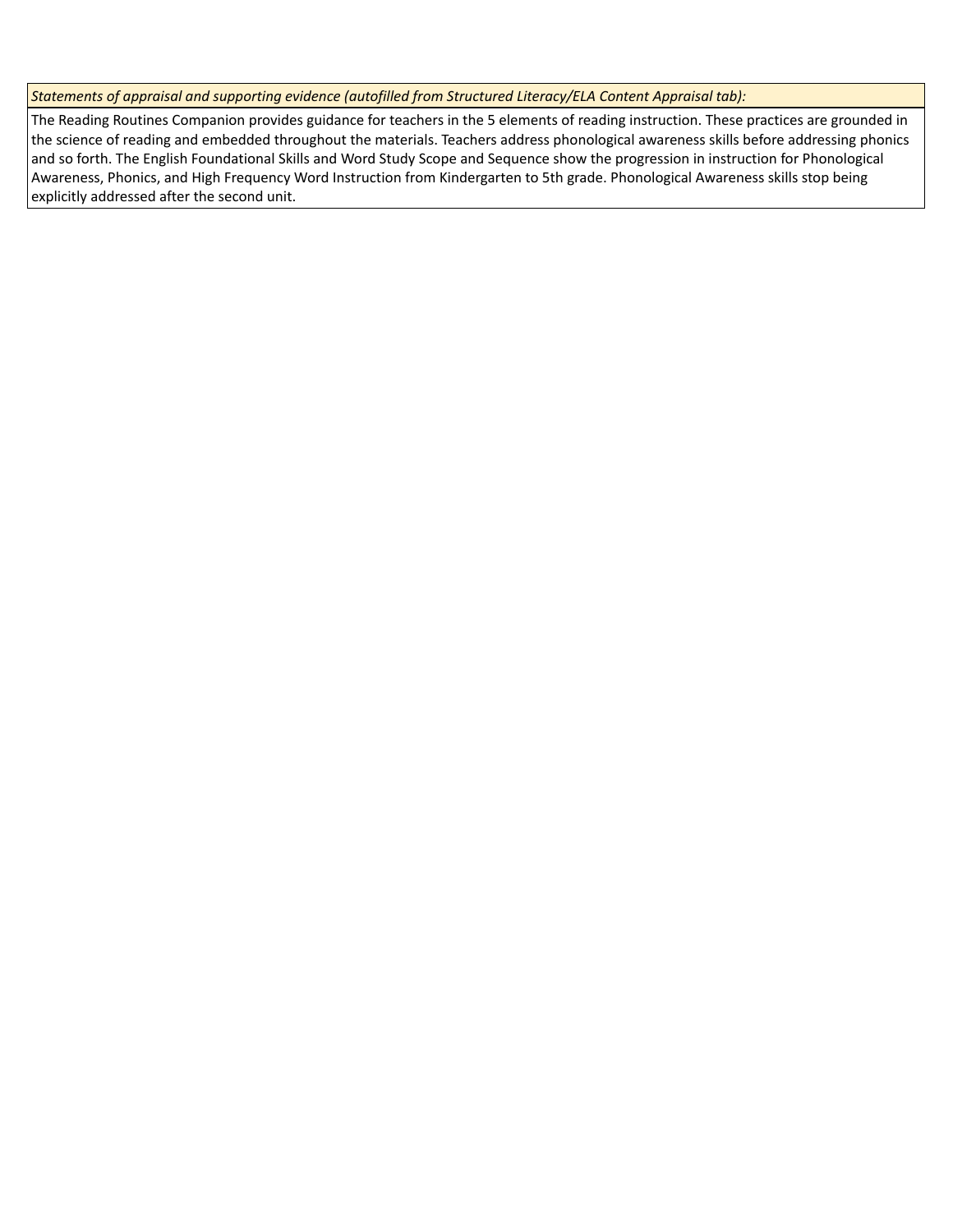*Statements of appraisal and supporting evidence (autofilled from Structured Literacy/ELA Content Appraisal tab):* 

The Reading Routines Companion provides guidance for teachers in the 5 elements of reading instruction. These practices are grounded in the science of reading and embedded throughout the materials. Teachers address phonological awareness skills before addressing phonics and so forth. The English Foundational Skills and Word Study Scope and Sequence show the progression in instruction for Phonological Awareness, Phonics, and High Frequency Word Instruction from Kindergarten to 5th grade. Phonological Awareness skills stop being explicitly addressed after the second unit.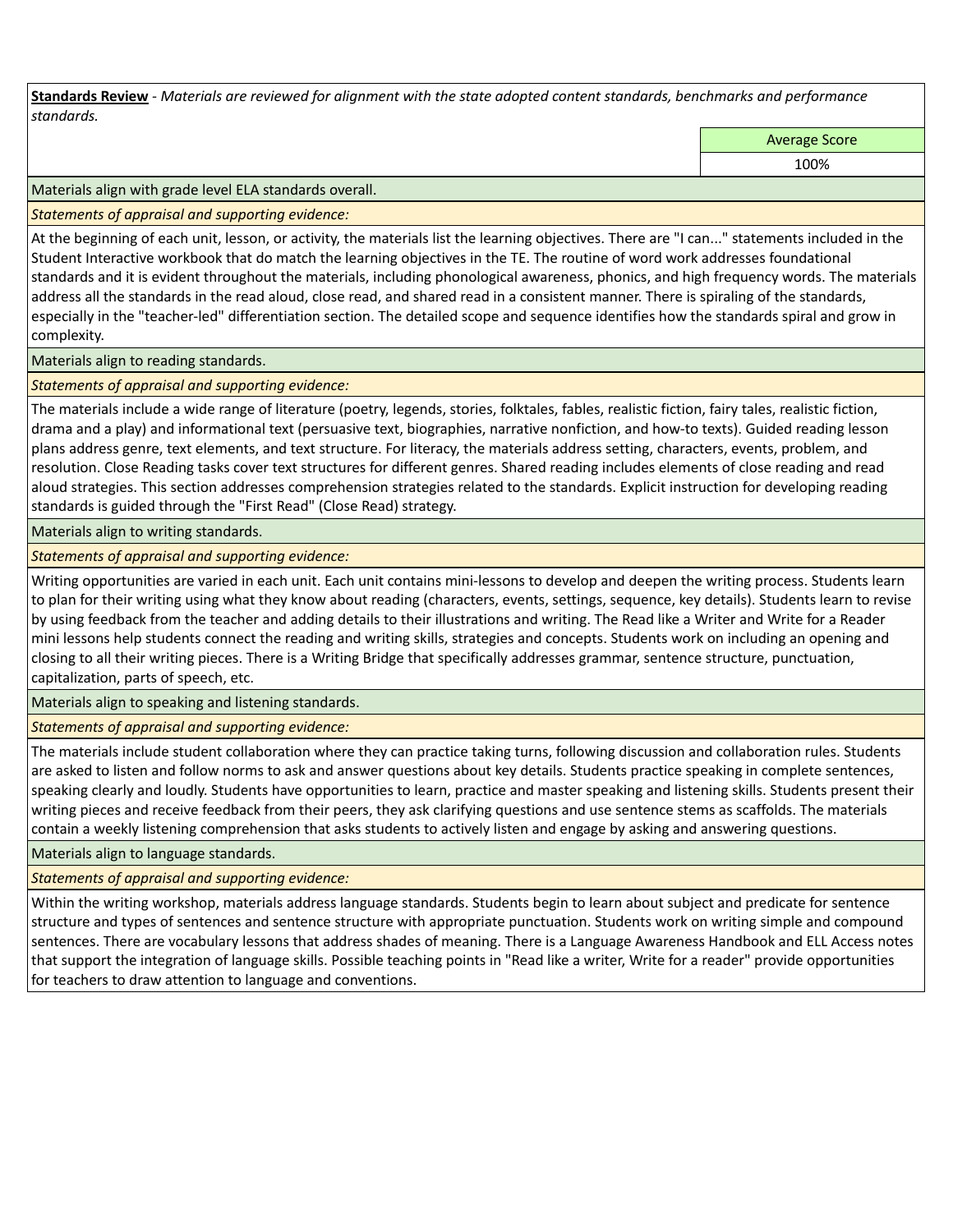**Standards Review** *- Materials are reviewed for alignment with the state adopted content standards, benchmarks and performance standards.*

Average Score

100%

Materials align with grade level ELA standards overall.

*Statements of appraisal and supporting evidence:* 

At the beginning of each unit, lesson, or activity, the materials list the learning objectives. There are "I can..." statements included in the Student Interactive workbook that do match the learning objectives in the TE. The routine of word work addresses foundational standards and it is evident throughout the materials, including phonological awareness, phonics, and high frequency words. The materials address all the standards in the read aloud, close read, and shared read in a consistent manner. There is spiraling of the standards, especially in the "teacher-led" differentiation section. The detailed scope and sequence identifies how the standards spiral and grow in complexity.

Materials align to reading standards.

*Statements of appraisal and supporting evidence:* 

The materials include a wide range of literature (poetry, legends, stories, folktales, fables, realistic fiction, fairy tales, realistic fiction, drama and a play) and informational text (persuasive text, biographies, narrative nonfiction, and how-to texts). Guided reading lesson plans address genre, text elements, and text structure. For literacy, the materials address setting, characters, events, problem, and resolution. Close Reading tasks cover text structures for different genres. Shared reading includes elements of close reading and read aloud strategies. This section addresses comprehension strategies related to the standards. Explicit instruction for developing reading standards is guided through the "First Read" (Close Read) strategy.

Materials align to writing standards.

*Statements of appraisal and supporting evidence:* 

Writing opportunities are varied in each unit. Each unit contains mini-lessons to develop and deepen the writing process. Students learn to plan for their writing using what they know about reading (characters, events, settings, sequence, key details). Students learn to revise by using feedback from the teacher and adding details to their illustrations and writing. The Read like a Writer and Write for a Reader mini lessons help students connect the reading and writing skills, strategies and concepts. Students work on including an opening and closing to all their writing pieces. There is a Writing Bridge that specifically addresses grammar, sentence structure, punctuation, capitalization, parts of speech, etc.

Materials align to speaking and listening standards.

*Statements of appraisal and supporting evidence:* 

The materials include student collaboration where they can practice taking turns, following discussion and collaboration rules. Students are asked to listen and follow norms to ask and answer questions about key details. Students practice speaking in complete sentences, speaking clearly and loudly. Students have opportunities to learn, practice and master speaking and listening skills. Students present their writing pieces and receive feedback from their peers, they ask clarifying questions and use sentence stems as scaffolds. The materials contain a weekly listening comprehension that asks students to actively listen and engage by asking and answering questions.

Materials align to language standards.

*Statements of appraisal and supporting evidence:* 

Within the writing workshop, materials address language standards. Students begin to learn about subject and predicate for sentence structure and types of sentences and sentence structure with appropriate punctuation. Students work on writing simple and compound sentences. There are vocabulary lessons that address shades of meaning. There is a Language Awareness Handbook and ELL Access notes that support the integration of language skills. Possible teaching points in "Read like a writer, Write for a reader" provide opportunities for teachers to draw attention to language and conventions.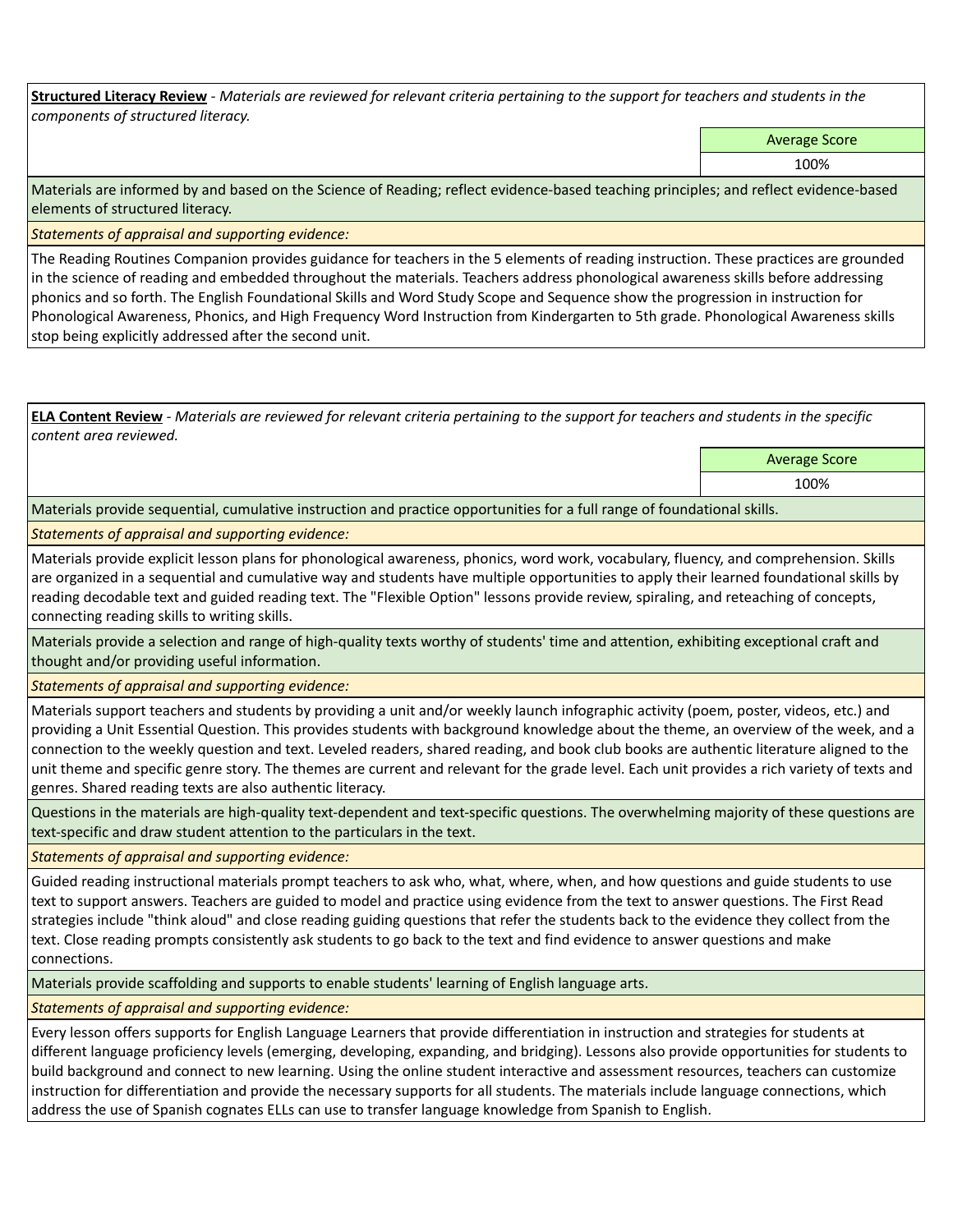**Structured Literacy Review** *- Materials are reviewed for relevant criteria pertaining to the support for teachers and students in the components of structured literacy.*

Average Score

100%

Materials are informed by and based on the Science of Reading; reflect evidence-based teaching principles; and reflect evidence-based elements of structured literacy.

*Statements of appraisal and supporting evidence:*

The Reading Routines Companion provides guidance for teachers in the 5 elements of reading instruction. These practices are grounded in the science of reading and embedded throughout the materials. Teachers address phonological awareness skills before addressing phonics and so forth. The English Foundational Skills and Word Study Scope and Sequence show the progression in instruction for Phonological Awareness, Phonics, and High Frequency Word Instruction from Kindergarten to 5th grade. Phonological Awareness skills stop being explicitly addressed after the second unit.

**ELA Content Review** *- Materials are reviewed for relevant criteria pertaining to the support for teachers and students in the specific content area reviewed.*

> Average Score 100%

Materials provide sequential, cumulative instruction and practice opportunities for a full range of foundational skills.

*Statements of appraisal and supporting evidence:* 

Materials provide explicit lesson plans for phonological awareness, phonics, word work, vocabulary, fluency, and comprehension. Skills are organized in a sequential and cumulative way and students have multiple opportunities to apply their learned foundational skills by reading decodable text and guided reading text. The "Flexible Option" lessons provide review, spiraling, and reteaching of concepts, connecting reading skills to writing skills.

Materials provide a selection and range of high-quality texts worthy of students' time and attention, exhibiting exceptional craft and thought and/or providing useful information.

*Statements of appraisal and supporting evidence:* 

Materials support teachers and students by providing a unit and/or weekly launch infographic activity (poem, poster, videos, etc.) and providing a Unit Essential Question. This provides students with background knowledge about the theme, an overview of the week, and a connection to the weekly question and text. Leveled readers, shared reading, and book club books are authentic literature aligned to the unit theme and specific genre story. The themes are current and relevant for the grade level. Each unit provides a rich variety of texts and genres. Shared reading texts are also authentic literacy.

Questions in the materials are high-quality text-dependent and text-specific questions. The overwhelming majority of these questions are text-specific and draw student attention to the particulars in the text.

*Statements of appraisal and supporting evidence:* 

Guided reading instructional materials prompt teachers to ask who, what, where, when, and how questions and guide students to use text to support answers. Teachers are guided to model and practice using evidence from the text to answer questions. The First Read strategies include "think aloud" and close reading guiding questions that refer the students back to the evidence they collect from the text. Close reading prompts consistently ask students to go back to the text and find evidence to answer questions and make connections.

Materials provide scaffolding and supports to enable students' learning of English language arts.

*Statements of appraisal and supporting evidence:* 

Every lesson offers supports for English Language Learners that provide differentiation in instruction and strategies for students at different language proficiency levels (emerging, developing, expanding, and bridging). Lessons also provide opportunities for students to build background and connect to new learning. Using the online student interactive and assessment resources, teachers can customize instruction for differentiation and provide the necessary supports for all students. The materials include language connections, which address the use of Spanish cognates ELLs can use to transfer language knowledge from Spanish to English.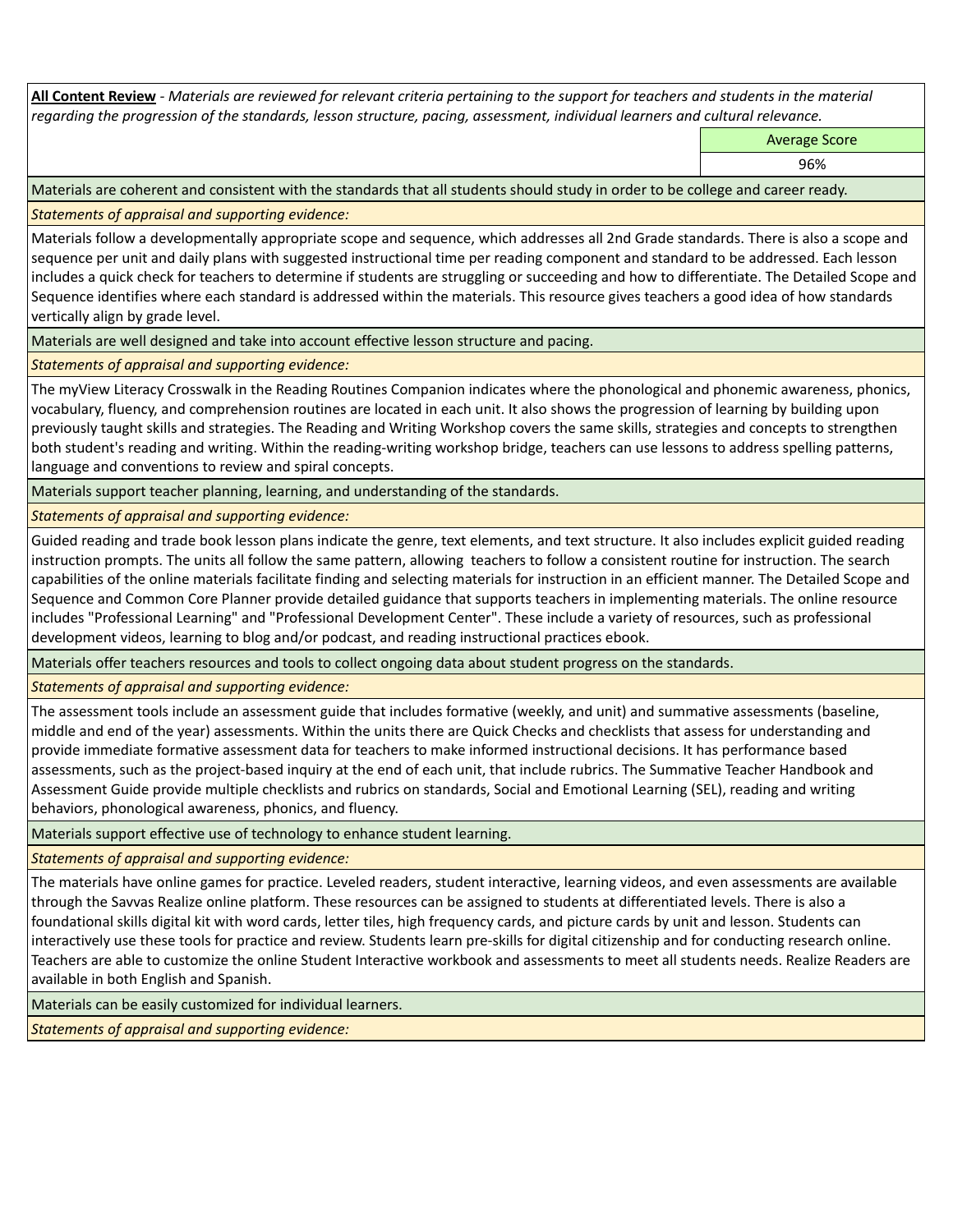**All Content Review** *- Materials are reviewed for relevant criteria pertaining to the support for teachers and students in the material regarding the progression of the standards, lesson structure, pacing, assessment, individual learners and cultural relevance.*

Average Score

96%

Materials are coherent and consistent with the standards that all students should study in order to be college and career ready.

*Statements of appraisal and supporting evidence:*

Materials follow a developmentally appropriate scope and sequence, which addresses all 2nd Grade standards. There is also a scope and sequence per unit and daily plans with suggested instructional time per reading component and standard to be addressed. Each lesson includes a quick check for teachers to determine if students are struggling or succeeding and how to differentiate. The Detailed Scope and Sequence identifies where each standard is addressed within the materials. This resource gives teachers a good idea of how standards vertically align by grade level.

Materials are well designed and take into account effective lesson structure and pacing.

*Statements of appraisal and supporting evidence:*

The myView Literacy Crosswalk in the Reading Routines Companion indicates where the phonological and phonemic awareness, phonics, vocabulary, fluency, and comprehension routines are located in each unit. It also shows the progression of learning by building upon previously taught skills and strategies. The Reading and Writing Workshop covers the same skills, strategies and concepts to strengthen both student's reading and writing. Within the reading-writing workshop bridge, teachers can use lessons to address spelling patterns, language and conventions to review and spiral concepts.

Materials support teacher planning, learning, and understanding of the standards.

*Statements of appraisal and supporting evidence:*

Guided reading and trade book lesson plans indicate the genre, text elements, and text structure. It also includes explicit guided reading instruction prompts. The units all follow the same pattern, allowing teachers to follow a consistent routine for instruction. The search capabilities of the online materials facilitate finding and selecting materials for instruction in an efficient manner. The Detailed Scope and Sequence and Common Core Planner provide detailed guidance that supports teachers in implementing materials. The online resource includes "Professional Learning" and "Professional Development Center". These include a variety of resources, such as professional development videos, learning to blog and/or podcast, and reading instructional practices ebook.

Materials offer teachers resources and tools to collect ongoing data about student progress on the standards.

*Statements of appraisal and supporting evidence:*

The assessment tools include an assessment guide that includes formative (weekly, and unit) and summative assessments (baseline, middle and end of the year) assessments. Within the units there are Quick Checks and checklists that assess for understanding and provide immediate formative assessment data for teachers to make informed instructional decisions. It has performance based assessments, such as the project-based inquiry at the end of each unit, that include rubrics. The Summative Teacher Handbook and Assessment Guide provide multiple checklists and rubrics on standards, Social and Emotional Learning (SEL), reading and writing behaviors, phonological awareness, phonics, and fluency.

Materials support effective use of technology to enhance student learning.

*Statements of appraisal and supporting evidence:*

The materials have online games for practice. Leveled readers, student interactive, learning videos, and even assessments are available through the Savvas Realize online platform. These resources can be assigned to students at differentiated levels. There is also a foundational skills digital kit with word cards, letter tiles, high frequency cards, and picture cards by unit and lesson. Students can interactively use these tools for practice and review. Students learn pre-skills for digital citizenship and for conducting research online. Teachers are able to customize the online Student Interactive workbook and assessments to meet all students needs. Realize Readers are available in both English and Spanish.

Materials can be easily customized for individual learners.

*Statements of appraisal and supporting evidence:*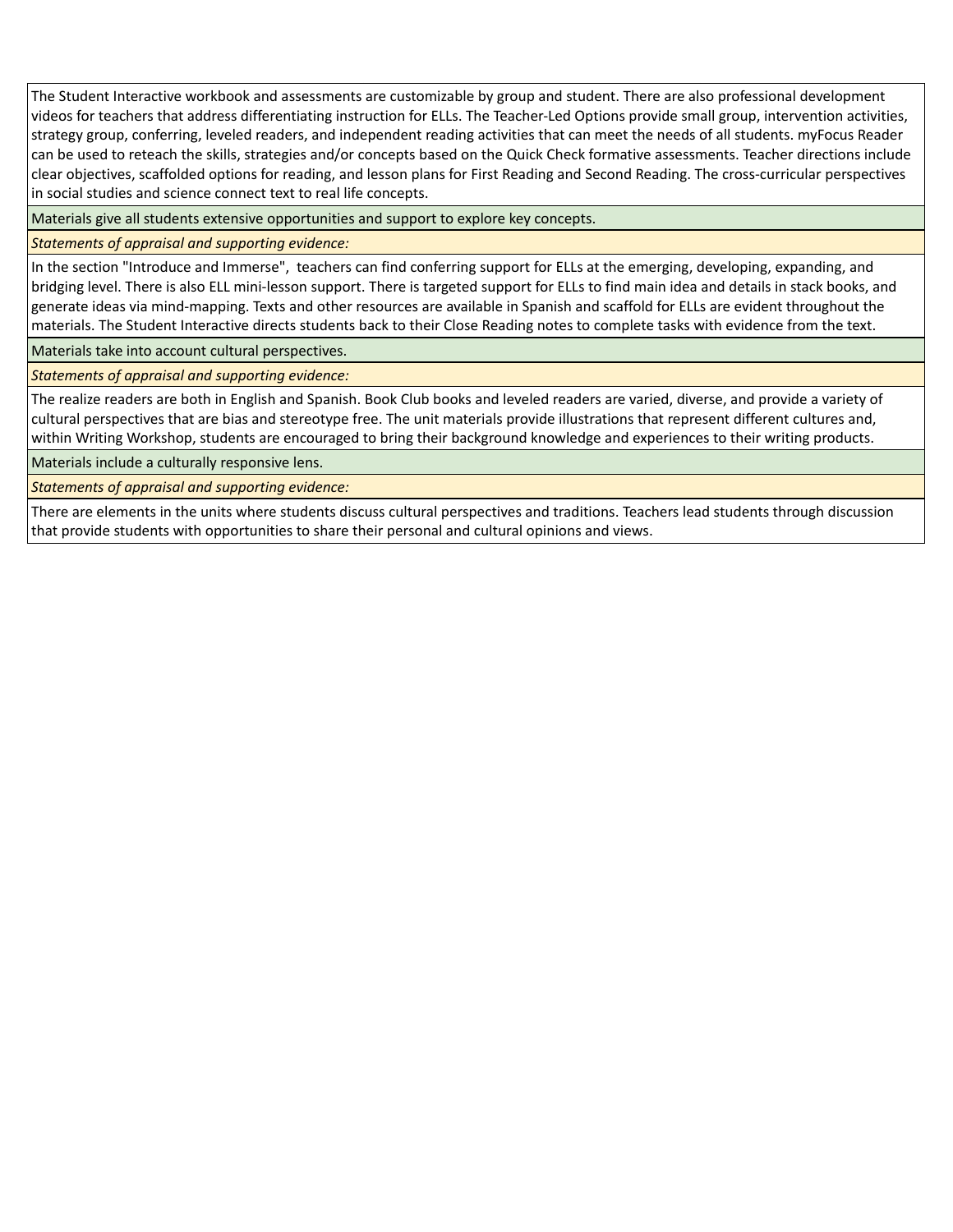The Student Interactive workbook and assessments are customizable by group and student. There are also professional development videos for teachers that address differentiating instruction for ELLs. The Teacher-Led Options provide small group, intervention activities, strategy group, conferring, leveled readers, and independent reading activities that can meet the needs of all students. myFocus Reader can be used to reteach the skills, strategies and/or concepts based on the Quick Check formative assessments. Teacher directions include clear objectives, scaffolded options for reading, and lesson plans for First Reading and Second Reading. The cross-curricular perspectives in social studies and science connect text to real life concepts.

Materials give all students extensive opportunities and support to explore key concepts.

## *Statements of appraisal and supporting evidence:*

In the section "Introduce and Immerse", teachers can find conferring support for ELLs at the emerging, developing, expanding, and bridging level. There is also ELL mini-lesson support. There is targeted support for ELLs to find main idea and details in stack books, and generate ideas via mind-mapping. Texts and other resources are available in Spanish and scaffold for ELLs are evident throughout the materials. The Student Interactive directs students back to their Close Reading notes to complete tasks with evidence from the text.

Materials take into account cultural perspectives.

*Statements of appraisal and supporting evidence:*

The realize readers are both in English and Spanish. Book Club books and leveled readers are varied, diverse, and provide a variety of cultural perspectives that are bias and stereotype free. The unit materials provide illustrations that represent different cultures and, within Writing Workshop, students are encouraged to bring their background knowledge and experiences to their writing products.

Materials include a culturally responsive lens.

*Statements of appraisal and supporting evidence:*

There are elements in the units where students discuss cultural perspectives and traditions. Teachers lead students through discussion that provide students with opportunities to share their personal and cultural opinions and views.